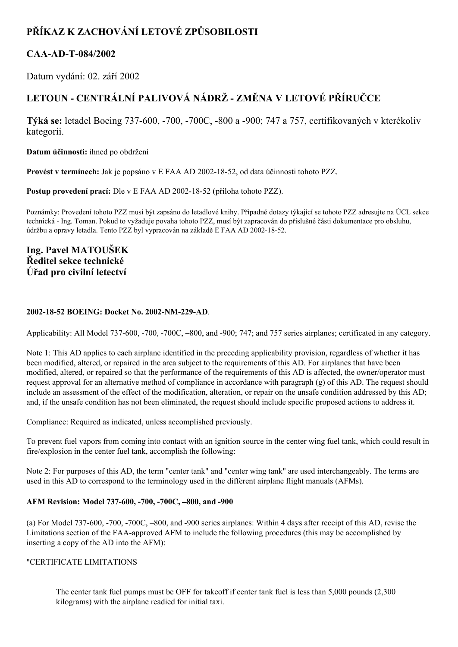# **PŘÍKAZ K ZACHOVÁNÍ LETOVÉ ZPŮSOBILOSTI**

# CAA-AD-T-084/2002

Datum vydání: 02. září 2002

# **LETOUN CENTRÁLNÍ PALIVOVÁ NÁDRŽ ZMĚNA V LETOVÉ PŘÍRUČCE**

**Týká se:** letadel Boeing 737-600, -700, -700C, -800 a -900; 747 a 757, certifikovaných v kterékoliv kategorii.

**Datum účinnosti:** ihned po obdržení

**Provést v termínech:** Jak je popsáno v E FAA AD 2002-18-52, od data účinnosti tohoto PZZ.

**Postup provedení prací:** Dle v E FAA AD 2002-18-52 (příloha tohoto PZZ).

Poznámky: Provedení tohoto PZZ musí být zapsáno do letadlové knihy. Případné dotazy týkající se tohoto PZZ adresujte na ÚCL sekce technická Ing. Toman. Pokud to vyžaduje povaha tohoto PZZ, musí být zapracován do příslušné části dokumentace pro obsluhu, údržbu a opravy letadla. Tento PZZ byl vypracován na základě E FAA AD 2002-18-52.

# **Ing. Pavel MATOUŠEK Ředitel sekce technické Úřad pro civilní letectví**

# **20021852 BOEING: Docket No. 2002NM229AD**.

Applicability: All Model 737-600, -700, -700C, -800, and -900; 747; and 757 series airplanes; certificated in any category.

Note 1: This AD applies to each airplane identified in the preceding applicability provision, regardless of whether it has been modified, altered, or repaired in the area subject to the requirements of this AD. For airplanes that have been modified, altered, or repaired so that the performance of the requirements of this AD is affected, the owner/operator must request approval for an alternative method of compliance in accordance with paragraph (g) of this AD. The request should include an assessment of the effect of the modification, alteration, or repair on the unsafe condition addressed by this AD; and, if the unsafe condition has not been eliminated, the request should include specific proposed actions to address it.

Compliance: Required as indicated, unless accomplished previously.

To prevent fuel vapors from coming into contact with an ignition source in the center wing fuel tank, which could result in fire/explosion in the center fuel tank, accomplish the following:

Note 2: For purposes of this AD, the term "center tank" and "center wing tank" are used interchangeably. The terms are used in this AD to correspond to the terminology used in the different airplane flight manuals (AFMs).

# **AFM Revision: Model 737600, 700, 700C,** –**800, and 900**

(a) For Model 737-600,  $-700$ ,  $-700C$ ,  $-800$ , and  $-900$  series airplanes: Within 4 days after receipt of this AD, revise the Limitations section of the FAA-approved AFM to include the following procedures (this may be accomplished by inserting a copy of the AD into the AFM):

# "CERTIFICATE LIMITATIONS

The center tank fuel pumps must be OFF for takeoff if center tank fuel is less than 5,000 pounds (2,300 kilograms) with the airplane readied for initial taxi.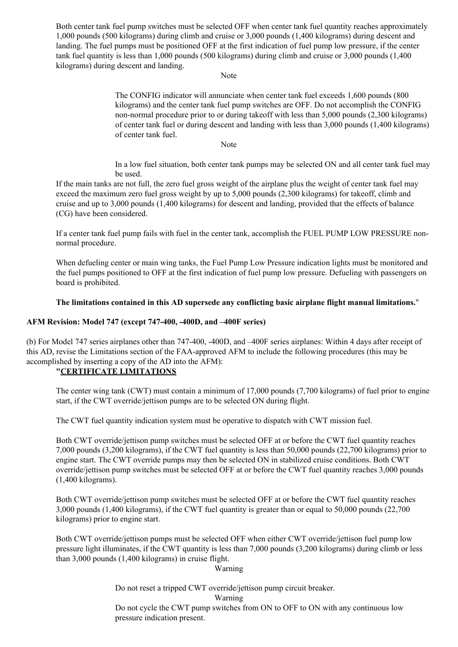Both center tank fuel pump switches must be selected OFF when center tank fuel quantity reaches approximately 1,000 pounds (500 kilograms) during climb and cruise or 3,000 pounds (1,400 kilograms) during descent and landing. The fuel pumps must be positioned OFF at the first indication of fuel pump low pressure, if the center tank fuel quantity is less than 1,000 pounds (500 kilograms) during climb and cruise or 3,000 pounds (1,400 kilograms) during descent and landing.

#### Note

The CONFIG indicator will annunciate when center tank fuel exceeds 1,600 pounds (800 kilograms) and the center tank fuel pump switches are OFF. Do not accomplish the CONFIG non-normal procedure prior to or during takeoff with less than 5,000 pounds (2,300 kilograms) of center tank fuel or during descent and landing with less than 3,000 pounds (1,400 kilograms) of center tank fuel.

Note

In a low fuel situation, both center tank pumps may be selected ON and all center tank fuel may be used.

If the main tanks are not full, the zero fuel gross weight of the airplane plus the weight of center tank fuel may exceed the maximum zero fuel gross weight by up to 5,000 pounds (2,300 kilograms) for takeoff, climb and cruise and up to 3,000 pounds (1,400 kilograms) for descent and landing, provided that the effects of balance (CG) have been considered.

If a center tank fuel pump fails with fuel in the center tank, accomplish the FUEL PUMP LOW PRESSURE nonnormal procedure.

When defueling center or main wing tanks, the Fuel Pump Low Pressure indication lights must be monitored and the fuel pumps positioned to OFF at the first indication of fuel pump low pressure. Defueling with passengers on board is prohibited.

# **The limitations contained in this AD supersede any conflicting basic airplane flight manual limitations.**"

# **AFM Revision: Model 747 (except 747400, 400D, and –400F series)**

(b) For Model 747 series airplanes other than 747-400, -400D, and -400F series airplanes: Within 4 days after receipt of this AD, revise the Limitations section of the FAA-approved AFM to include the following procedures (this may be accomplished by inserting a copy of the AD into the AFM):

# **"CERTIFICATE LIMITATIONS**

The center wing tank (CWT) must contain a minimum of 17,000 pounds (7,700 kilograms) of fuel prior to engine start, if the CWT override/jettison pumps are to be selected ON during flight.

The CWT fuel quantity indication system must be operative to dispatch with CWT mission fuel.

Both CWT override/jettison pump switches must be selected OFF at or before the CWT fuel quantity reaches 7,000 pounds (3,200 kilograms), if the CWT fuel quantity is less than 50,000 pounds (22,700 kilograms) prior to engine start. The CWT override pumps may then be selected ON in stabilized cruise conditions. Both CWT override/jettison pump switches must be selected OFF at or before the CWT fuel quantity reaches 3,000 pounds (1,400 kilograms).

Both CWT override/jettison pump switches must be selected OFF at or before the CWT fuel quantity reaches 3,000 pounds (1,400 kilograms), if the CWT fuel quantity is greater than or equal to 50,000 pounds (22,700 kilograms) prior to engine start.

Both CWT override/jettison pumps must be selected OFF when either CWT override/jettison fuel pump low pressure light illuminates, if the CWT quantity is less than 7,000 pounds (3,200 kilograms) during climb or less than 3,000 pounds (1,400 kilograms) in cruise flight.

#### Warning

Do not reset a tripped CWT override/jettison pump circuit breaker.

Do not cycle the CWT pump switches from ON to OFF to ON with any continuous low pressure indication present.

Warning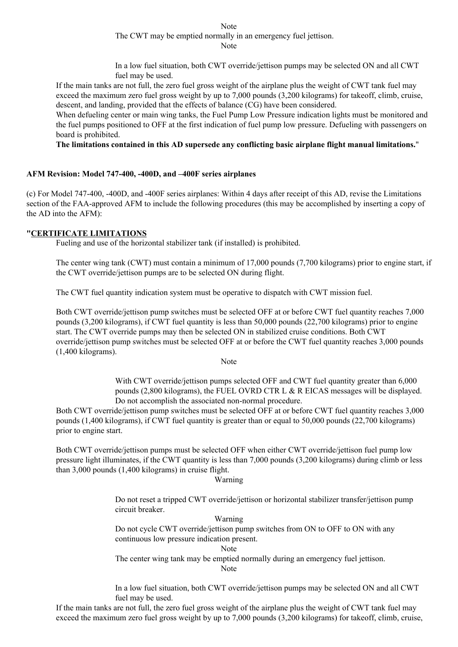Note The CWT may be emptied normally in an emergency fuel jettison.

Note

In a low fuel situation, both CWT override/jettison pumps may be selected ON and all CWT fuel may be used.

If the main tanks are not full, the zero fuel gross weight of the airplane plus the weight of CWT tank fuel may exceed the maximum zero fuel gross weight by up to 7,000 pounds (3,200 kilograms) for takeoff, climb, cruise, descent, and landing, provided that the effects of balance (CG) have been considered.

When defueling center or main wing tanks, the Fuel Pump Low Pressure indication lights must be monitored and the fuel pumps positioned to OFF at the first indication of fuel pump low pressure. Defueling with passengers on board is prohibited.

**The limitations contained in this AD supersede any conflicting basic airplane flight manual limitations.**"

# **AFM Revision: Model 747400, 400D, and –400F series airplanes**

(c) For Model 747400, 400D, and 400F series airplanes: Within 4 days after receipt of this AD, revise the Limitations section of the FAA-approved AFM to include the following procedures (this may be accomplished by inserting a copy of the AD into the AFM):

# **"CERTIFICATE LIMITATIONS**

Fueling and use of the horizontal stabilizer tank (if installed) is prohibited.

The center wing tank (CWT) must contain a minimum of 17,000 pounds (7,700 kilograms) prior to engine start, if the CWT override/jettison pumps are to be selected ON during flight.

The CWT fuel quantity indication system must be operative to dispatch with CWT mission fuel.

Both CWT override/jettison pump switches must be selected OFF at or before CWT fuel quantity reaches 7,000 pounds (3,200 kilograms), if CWT fuel quantity is less than 50,000 pounds (22,700 kilograms) prior to engine start. The CWT override pumps may then be selected ON in stabilized cruise conditions. Both CWT override/jettison pump switches must be selected OFF at or before the CWT fuel quantity reaches 3,000 pounds (1,400 kilograms).

Note

With CWT override/jettison pumps selected OFF and CWT fuel quantity greater than 6,000 pounds (2,800 kilograms), the FUEL OVRD CTR L & R EICAS messages will be displayed. Do not accomplish the associated non-normal procedure.

Both CWT override/jettison pump switches must be selected OFF at or before CWT fuel quantity reaches 3,000 pounds (1,400 kilograms), if CWT fuel quantity is greater than or equal to 50,000 pounds (22,700 kilograms) prior to engine start.

Both CWT override/jettison pumps must be selected OFF when either CWT override/jettison fuel pump low pressure light illuminates, if the CWT quantity is less than 7,000 pounds (3,200 kilograms) during climb or less than 3,000 pounds (1,400 kilograms) in cruise flight.

#### Warning

Do not reset a tripped CWT override/jettison or horizontal stabilizer transfer/jettison pump circuit breaker.

#### Warning

Do not cycle CWT override/jettison pump switches from ON to OFF to ON with any continuous low pressure indication present.

Note

The center wing tank may be emptied normally during an emergency fuel jettison.

Note

In a low fuel situation, both CWT override/jettison pumps may be selected ON and all CWT fuel may be used.

If the main tanks are not full, the zero fuel gross weight of the airplane plus the weight of CWT tank fuel may exceed the maximum zero fuel gross weight by up to 7,000 pounds (3,200 kilograms) for takeoff, climb, cruise,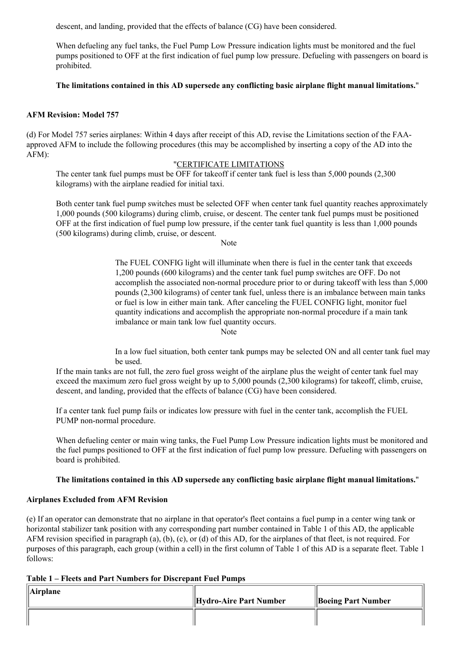descent, and landing, provided that the effects of balance (CG) have been considered.

When defueling any fuel tanks, the Fuel Pump Low Pressure indication lights must be monitored and the fuel pumps positioned to OFF at the first indication of fuel pump low pressure. Defueling with passengers on board is prohibited.

# **The limitations contained in this AD supersede any conflicting basic airplane flight manual limitations.**"

# **AFM Revision: Model 757**

(d) For Model 757 series airplanes: Within 4 days after receipt of this AD, revise the Limitations section of the FAAapproved AFM to include the following procedures (this may be accomplished by inserting a copy of the AD into the AFM):

#### "CERTIFICATE LIMITATIONS

The center tank fuel pumps must be OFF for takeoff if center tank fuel is less than 5,000 pounds (2,300 kilograms) with the airplane readied for initial taxi.

Both center tank fuel pump switches must be selected OFF when center tank fuel quantity reaches approximately 1,000 pounds (500 kilograms) during climb, cruise, or descent. The center tank fuel pumps must be positioned OFF at the first indication of fuel pump low pressure, if the center tank fuel quantity is less than 1,000 pounds (500 kilograms) during climb, cruise, or descent.

Note

The FUEL CONFIG light will illuminate when there is fuel in the center tank that exceeds 1,200 pounds (600 kilograms) and the center tank fuel pump switches are OFF. Do not accomplish the associated non-normal procedure prior to or during takeoff with less than 5,000 pounds (2,300 kilograms) of center tank fuel, unless there is an imbalance between main tanks or fuel is low in either main tank. After canceling the FUEL CONFIG light, monitor fuel quantity indications and accomplish the appropriate non-normal procedure if a main tank imbalance or main tank low fuel quantity occurs.

Note

In a low fuel situation, both center tank pumps may be selected ON and all center tank fuel may be used.

If the main tanks are not full, the zero fuel gross weight of the airplane plus the weight of center tank fuel may exceed the maximum zero fuel gross weight by up to 5,000 pounds (2,300 kilograms) for takeoff, climb, cruise, descent, and landing, provided that the effects of balance (CG) have been considered.

If a center tank fuel pump fails or indicates low pressure with fuel in the center tank, accomplish the FUEL PUMP non-normal procedure.

When defueling center or main wing tanks, the Fuel Pump Low Pressure indication lights must be monitored and the fuel pumps positioned to OFF at the first indication of fuel pump low pressure. Defueling with passengers on board is prohibited.

#### **The limitations contained in this AD supersede any conflicting basic airplane flight manual limitations.**"

# **Airplanes Excluded from AFM Revision**

(e) If an operator can demonstrate that no airplane in that operator's fleet contains a fuel pump in a center wing tank or horizontal stabilizer tank position with any corresponding part number contained in Table 1 of this AD, the applicable AFM revision specified in paragraph (a), (b), (c), or (d) of this AD, for the airplanes of that fleet, is not required. For purposes of this paragraph, each group (within a cell) in the first column of Table 1 of this AD is a separate fleet. Table 1 follows:

#### **Table 1 – Fleets and Part Numbers for Discrepant Fuel Pumps**

| $\ $ Airplane | Hydro-Aire Part Number | <b>Boeing Part Number</b> |
|---------------|------------------------|---------------------------|
|               |                        |                           |